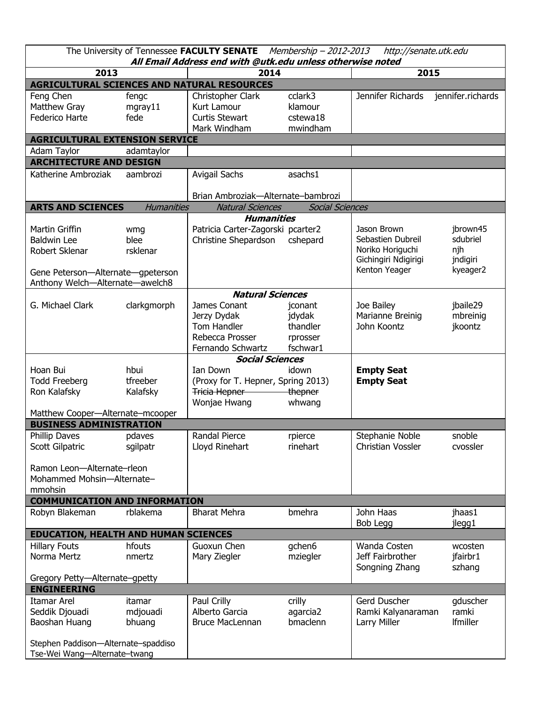| The University of Tennessee FACULTY SENATE<br>Membership - 2012-2013<br>http://senate.utk.edu<br>All Email Address end with @utk.edu unless otherwise noted |                                |                                                                                    |                                                       |                                                                                               |                                                     |  |  |  |  |
|-------------------------------------------------------------------------------------------------------------------------------------------------------------|--------------------------------|------------------------------------------------------------------------------------|-------------------------------------------------------|-----------------------------------------------------------------------------------------------|-----------------------------------------------------|--|--|--|--|
| 2013                                                                                                                                                        |                                | 2014                                                                               |                                                       | 2015                                                                                          |                                                     |  |  |  |  |
| AGRICULTURAL SCIENCES AND NATURAL RESOURCES                                                                                                                 |                                |                                                                                    |                                                       |                                                                                               |                                                     |  |  |  |  |
| Feng Chen<br>Matthew Gray<br>Federico Harte                                                                                                                 | fengc<br>$m$ gray $11$<br>fede | Christopher Clark<br>Kurt Lamour<br><b>Curtis Stewart</b><br>Mark Windham          | cclark3<br>klamour<br>cstewa18<br>mwindham            | Jennifer Richards                                                                             | jennifer.richards                                   |  |  |  |  |
| <b>AGRICULTURAL EXTENSION SERVICE</b>                                                                                                                       |                                |                                                                                    |                                                       |                                                                                               |                                                     |  |  |  |  |
| Adam Taylor                                                                                                                                                 | adamtaylor                     |                                                                                    |                                                       |                                                                                               |                                                     |  |  |  |  |
| <b>ARCHITECTURE AND DESIGN</b>                                                                                                                              |                                |                                                                                    |                                                       |                                                                                               |                                                     |  |  |  |  |
| Katherine Ambroziak                                                                                                                                         | aambrozi                       | Avigail Sachs                                                                      | asachs1                                               |                                                                                               |                                                     |  |  |  |  |
|                                                                                                                                                             |                                | Brian Ambroziak-Alternate-bambrozi                                                 |                                                       |                                                                                               |                                                     |  |  |  |  |
| <b>ARTS AND SCIENCES</b>                                                                                                                                    | <b>Humanities</b>              | <b>Natural Sciences</b>                                                            | <b>Social Sciences</b>                                |                                                                                               |                                                     |  |  |  |  |
|                                                                                                                                                             |                                | <b>Humanities</b>                                                                  |                                                       |                                                                                               |                                                     |  |  |  |  |
| Martin Griffin<br><b>Baldwin Lee</b><br>Robert Sklenar<br>Gene Peterson-Alternate-gpeterson<br>Anthony Welch-Alternate-awelch8                              | wmg<br>blee<br>rsklenar        | Patricia Carter-Zagorski pcarter2<br>Christine Shepardson                          | cshepard                                              | Jason Brown<br>Sebastien Dubreil<br>Noriko Horiguchi<br>Gichingiri Ndigirigi<br>Kenton Yeager | jbrown45<br>sdubriel<br>njh<br>jndigiri<br>kyeager2 |  |  |  |  |
| <b>Natural Sciences</b>                                                                                                                                     |                                |                                                                                    |                                                       |                                                                                               |                                                     |  |  |  |  |
| G. Michael Clark                                                                                                                                            | clarkgmorph                    | James Conant<br>Jerzy Dydak<br>Tom Handler<br>Rebecca Prosser<br>Fernando Schwartz | jconant<br>jdydak<br>thandler<br>rprosser<br>fschwar1 | Joe Bailey<br>Marianne Breinig<br>John Koontz                                                 | jbaile29<br>mbreinig<br>jkoontz                     |  |  |  |  |
| <b>Social Sciences</b>                                                                                                                                      |                                |                                                                                    |                                                       |                                                                                               |                                                     |  |  |  |  |
| Hoan Bui<br><b>Todd Freeberg</b><br>Ron Kalafsky<br>Matthew Cooper-Alternate-mcooper                                                                        | hbui<br>tfreeber<br>Kalafsky   | Ian Down<br>(Proxy for T. Hepner, Spring 2013)<br>Tricia Hepner<br>Wonjae Hwang    | idown<br>thepner<br>whwang                            | <b>Empty Seat</b><br><b>Empty Seat</b>                                                        |                                                     |  |  |  |  |
| <b>BUSINESS ADMINISTRATION</b>                                                                                                                              |                                |                                                                                    |                                                       |                                                                                               |                                                     |  |  |  |  |
| Phillip Daves<br>Scott Gilpatric<br>Ramon Leon-Alternate-rleon                                                                                              | pdaves<br>sgilpatr             | Randal Pierce<br>Lloyd Rinehart                                                    | rpierce<br>rinehart                                   | Stephanie Noble<br>Christian Vossler                                                          | snoble<br>cvossler                                  |  |  |  |  |
| Mohammed Mohsin-Alternate-                                                                                                                                  |                                |                                                                                    |                                                       |                                                                                               |                                                     |  |  |  |  |
| mmohsin                                                                                                                                                     |                                |                                                                                    |                                                       |                                                                                               |                                                     |  |  |  |  |
| <b>COMMUNICATION AND INFORMATION</b><br>Robyn Blakeman                                                                                                      | rblakema                       | <b>Bharat Mehra</b>                                                                | bmehra                                                | John Haas<br>Bob Legg                                                                         | jhaas1<br>jlegg1                                    |  |  |  |  |
| <b>EDUCATION, HEALTH AND HUMAN SCIENCES</b>                                                                                                                 |                                |                                                                                    |                                                       |                                                                                               |                                                     |  |  |  |  |
| <b>Hillary Fouts</b><br>Norma Mertz                                                                                                                         | hfouts<br>nmertz               | Guoxun Chen<br>Mary Ziegler                                                        | gchen6<br>mziegler                                    | Wanda Costen<br>Jeff Fairbrother<br>Songning Zhang                                            | wcosten<br>jfairbr1<br>szhang                       |  |  |  |  |
| Gregory Petty-Alternate-gpetty<br><b>ENGINEERING</b>                                                                                                        |                                |                                                                                    |                                                       |                                                                                               |                                                     |  |  |  |  |
| <b>Itamar Arel</b><br>Seddik Djouadi<br>Baoshan Huang<br>Stephen Paddison-Alternate-spaddiso<br>Tse-Wei Wang-Alternate-twang                                | itamar<br>mdjouadi<br>bhuang   | Paul Crilly<br>Alberto Garcia<br><b>Bruce MacLennan</b>                            | crilly<br>agarcia2<br>bmaclenn                        | Gerd Duscher<br>Ramki Kalyanaraman<br>Larry Miller                                            | gduscher<br>ramki<br>Ifmiller                       |  |  |  |  |